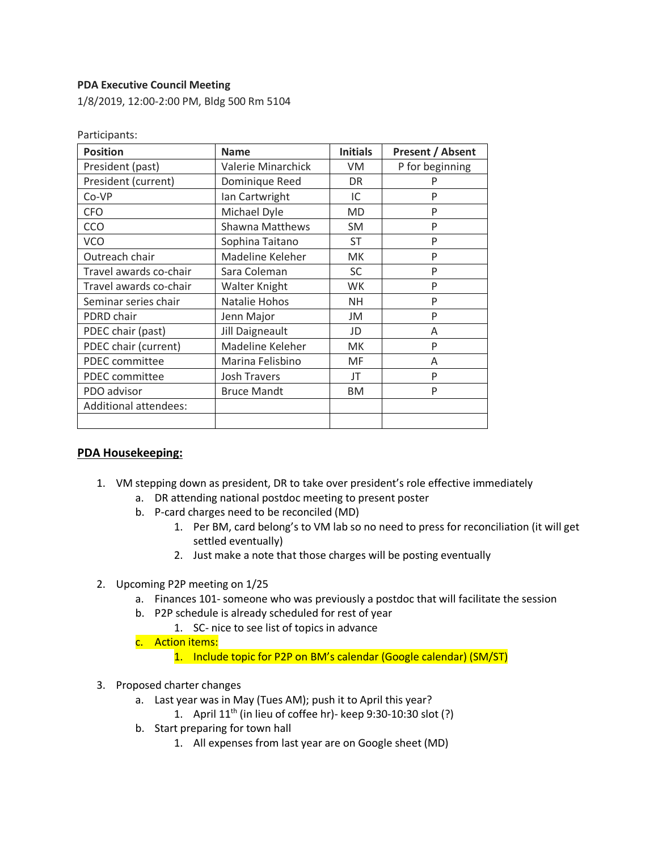## **PDA Executive Council Meeting**

1/8/2019, 12:00-2:00 PM, Bldg 500 Rm 5104

| <b>Position</b>              | <b>Name</b>            | <b>Initials</b> | <b>Present / Absent</b> |
|------------------------------|------------------------|-----------------|-------------------------|
| President (past)             | Valerie Minarchick     | <b>VM</b>       | P for beginning         |
| President (current)          | Dominique Reed         | DR              | P                       |
| Co-VP                        | Ian Cartwright         | IC              | P                       |
| <b>CFO</b>                   | Michael Dyle           | <b>MD</b>       | P                       |
| CCO                          | <b>Shawna Matthews</b> | <b>SM</b>       | P                       |
| <b>VCO</b>                   | Sophina Taitano        | <b>ST</b>       | P                       |
| Outreach chair               | Madeline Keleher       | <b>MK</b>       | P                       |
| Travel awards co-chair       | Sara Coleman           | <b>SC</b>       | P                       |
| Travel awards co-chair       | Walter Knight          | <b>WK</b>       | P                       |
| Seminar series chair         | Natalie Hohos          | <b>NH</b>       | P                       |
| PDRD chair                   | Jenn Major             | JM              | P                       |
| PDEC chair (past)            | <b>Jill Daigneault</b> | JD              | A                       |
| PDEC chair (current)         | Madeline Keleher       | <b>MK</b>       | P                       |
| <b>PDEC</b> committee        | Marina Felisbino       | MF              | A                       |
| PDEC committee               | <b>Josh Travers</b>    | JT              | P                       |
| PDO advisor                  | <b>Bruce Mandt</b>     | <b>BM</b>       | P                       |
| <b>Additional attendees:</b> |                        |                 |                         |
|                              |                        |                 |                         |

Participants:

#### **PDA Housekeeping:**

- 1. VM stepping down as president, DR to take over president's role effective immediately
	- a. DR attending national postdoc meeting to present poster
	- b. P-card charges need to be reconciled (MD)
		- 1. Per BM, card belong's to VM lab so no need to press for reconciliation (it will get settled eventually)
		- 2. Just make a note that those charges will be posting eventually
- 2. Upcoming P2P meeting on 1/25
	- a. Finances 101- someone who was previously a postdoc that will facilitate the session
	- b. P2P schedule is already scheduled for rest of year
		- 1. SC- nice to see list of topics in advance
	- c. Action items:

1. Include topic for P2P on BM's calendar (Google calendar) (SM/ST)

- 3. Proposed charter changes
	- a. Last year was in May (Tues AM); push it to April this year?
		- 1. April  $11<sup>th</sup>$  (in lieu of coffee hr)- keep 9:30-10:30 slot (?)
	- b. Start preparing for town hall
		- 1. All expenses from last year are on Google sheet (MD)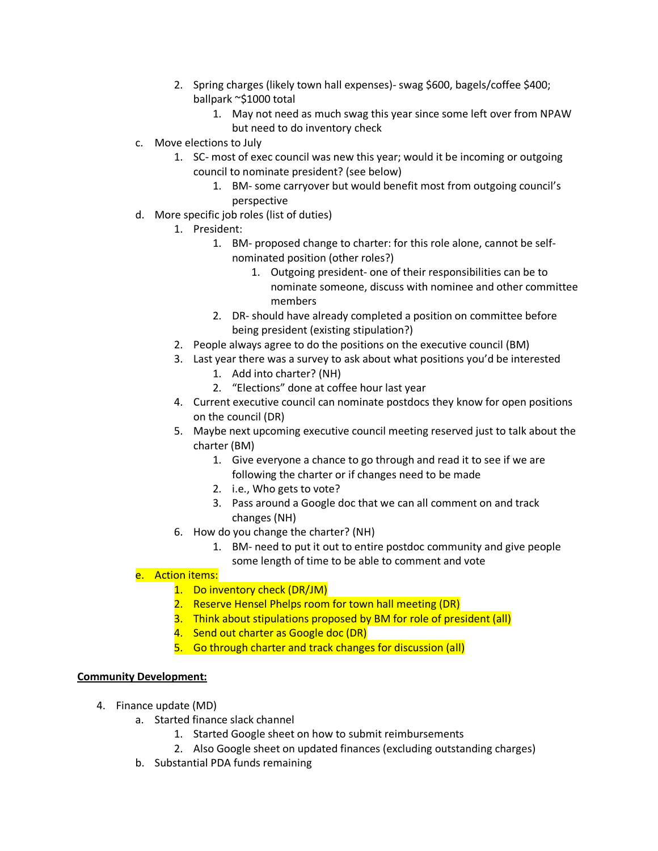- 2. Spring charges (likely town hall expenses)- swag \$600, bagels/coffee \$400; ballpark ~\$1000 total
	- 1. May not need as much swag this year since some left over from NPAW but need to do inventory check
- c. Move elections to July
	- 1. SC- most of exec council was new this year; would it be incoming or outgoing council to nominate president? (see below)
		- 1. BM- some carryover but would benefit most from outgoing council's perspective
- d. More specific job roles (list of duties)
	- 1. President:
		- 1. BM- proposed change to charter: for this role alone, cannot be selfnominated position (other roles?)
			- 1. Outgoing president- one of their responsibilities can be to nominate someone, discuss with nominee and other committee members
		- 2. DR- should have already completed a position on committee before being president (existing stipulation?)
	- 2. People always agree to do the positions on the executive council (BM)
	- 3. Last year there was a survey to ask about what positions you'd be interested
		- 1. Add into charter? (NH)
		- 2. "Elections" done at coffee hour last year
	- 4. Current executive council can nominate postdocs they know for open positions on the council (DR)
	- 5. Maybe next upcoming executive council meeting reserved just to talk about the charter (BM)
		- 1. Give everyone a chance to go through and read it to see if we are following the charter or if changes need to be made
		- 2. i.e., Who gets to vote?
		- 3. Pass around a Google doc that we can all comment on and track changes (NH)
	- 6. How do you change the charter? (NH)
		- 1. BM- need to put it out to entire postdoc community and give people some length of time to be able to comment and vote

## e. Action items:

- 1. Do inventory check (DR/JM)
- 2. Reserve Hensel Phelps room for town hall meeting (DR)
- 3. Think about stipulations proposed by BM for role of president (all)
- 4. Send out charter as Google doc (DR)
- 5. Go through charter and track changes for discussion (all)

## **Community Development:**

- 4. Finance update (MD)
	- a. Started finance slack channel
		- 1. Started Google sheet on how to submit reimbursements
		- 2. Also Google sheet on updated finances (excluding outstanding charges)
	- b. Substantial PDA funds remaining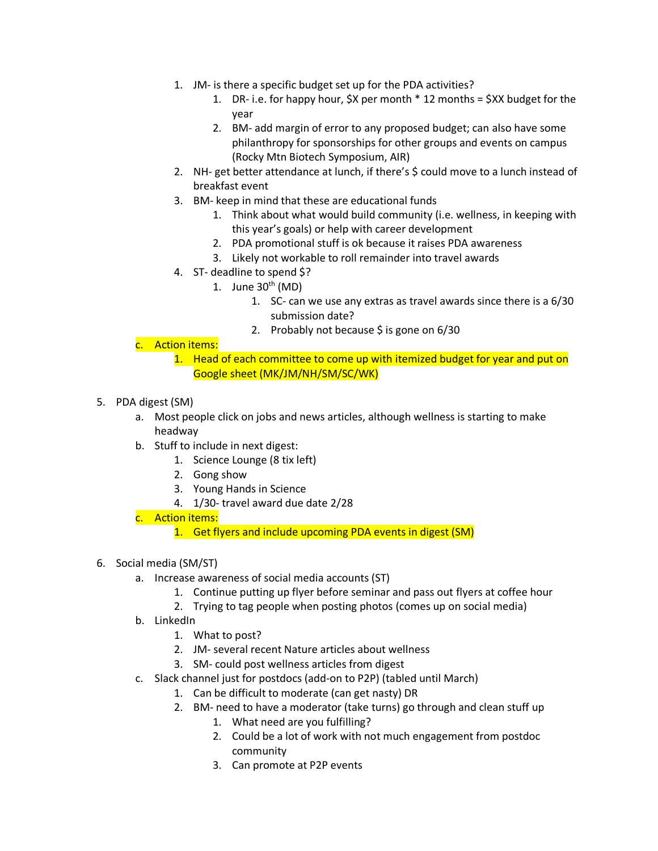- 1. JM- is there a specific budget set up for the PDA activities?
	- 1. DR- i.e. for happy hour, \$X per month \* 12 months = \$XX budget for the year
	- 2. BM- add margin of error to any proposed budget; can also have some philanthropy for sponsorships for other groups and events on campus (Rocky Mtn Biotech Symposium, AIR)
- 2. NH- get better attendance at lunch, if there's \$ could move to a lunch instead of breakfast event
- 3. BM- keep in mind that these are educational funds
	- 1. Think about what would build community (i.e. wellness, in keeping with this year's goals) or help with career development
	- 2. PDA promotional stuff is ok because it raises PDA awareness
	- 3. Likely not workable to roll remainder into travel awards
- 4. ST- deadline to spend \$?
	- 1. June  $30<sup>th</sup>$  (MD)
		- 1. SC- can we use any extras as travel awards since there is a 6/30 submission date?
		- 2. Probably not because  $\frac{1}{2}$  is gone on 6/30
- c. Action items:
	- 1. Head of each committee to come up with itemized budget for year and put on Google sheet (MK/JM/NH/SM/SC/WK)
- 5. PDA digest (SM)
	- a. Most people click on jobs and news articles, although wellness is starting to make headway
	- b. Stuff to include in next digest:
		- 1. Science Lounge (8 tix left)
		- 2. Gong show
		- 3. Young Hands in Science
		- 4. 1/30- travel award due date 2/28
	- c. Action items:
		- 1. Get flyers and include upcoming PDA events in digest (SM)
- 6. Social media (SM/ST)
	- a. Increase awareness of social media accounts (ST)
		- 1. Continue putting up flyer before seminar and pass out flyers at coffee hour
		- 2. Trying to tag people when posting photos (comes up on social media)
	- b. LinkedIn
		- 1. What to post?
		- 2. JM- several recent Nature articles about wellness
		- 3. SM- could post wellness articles from digest
	- c. Slack channel just for postdocs (add-on to P2P) (tabled until March)
		- 1. Can be difficult to moderate (can get nasty) DR
		- 2. BM- need to have a moderator (take turns) go through and clean stuff up
			- 1. What need are you fulfilling?
				- 2. Could be a lot of work with not much engagement from postdoc community
				- 3. Can promote at P2P events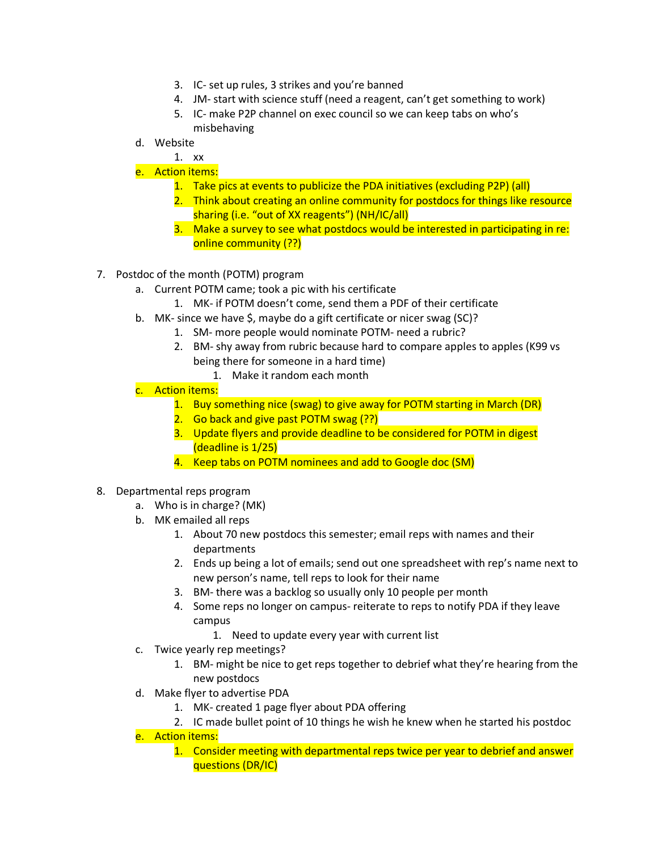- 3. IC- set up rules, 3 strikes and you're banned
- 4. JM- start with science stuff (need a reagent, can't get something to work)
- 5. IC- make P2P channel on exec council so we can keep tabs on who's misbehaving
- d. Website

# 1. xx

## e. Action items:

- 1. Take pics at events to publicize the PDA initiatives (excluding P2P) (all)
- 2. Think about creating an online community for postdocs for things like resource sharing (i.e. "out of XX reagents") (NH/IC/all)
- 3. Make a survey to see what postdocs would be interested in participating in re: online community (??)
- 7. Postdoc of the month (POTM) program
	- a. Current POTM came; took a pic with his certificate
		- 1. MK- if POTM doesn't come, send them a PDF of their certificate
	- b. MK- since we have \$, maybe do a gift certificate or nicer swag (SC)?
		- 1. SM- more people would nominate POTM- need a rubric?
			- 2. BM- shy away from rubric because hard to compare apples to apples (K99 vs being there for someone in a hard time)
				- 1. Make it random each month
	- c. Action items:
		- 1. Buy something nice (swag) to give away for POTM starting in March (DR)
		- 2. Go back and give past POTM swag (??)
		- 3. Update flyers and provide deadline to be considered for POTM in digest (deadline is 1/25)
		- 4. Keep tabs on POTM nominees and add to Google doc (SM)
- 8. Departmental reps program
	- a. Who is in charge? (MK)
	- b. MK emailed all reps
		- 1. About 70 new postdocs this semester; email reps with names and their departments
		- 2. Ends up being a lot of emails; send out one spreadsheet with rep's name next to new person's name, tell reps to look for their name
		- 3. BM- there was a backlog so usually only 10 people per month
		- 4. Some reps no longer on campus- reiterate to reps to notify PDA if they leave campus
			- 1. Need to update every year with current list
	- c. Twice yearly rep meetings?
		- 1. BM- might be nice to get reps together to debrief what they're hearing from the new postdocs
	- d. Make flyer to advertise PDA
		- 1. MK- created 1 page flyer about PDA offering
		- 2. IC made bullet point of 10 things he wish he knew when he started his postdoc
	- e. Action items:
		- 1. Consider meeting with departmental reps twice per year to debrief and answer questions (DR/IC)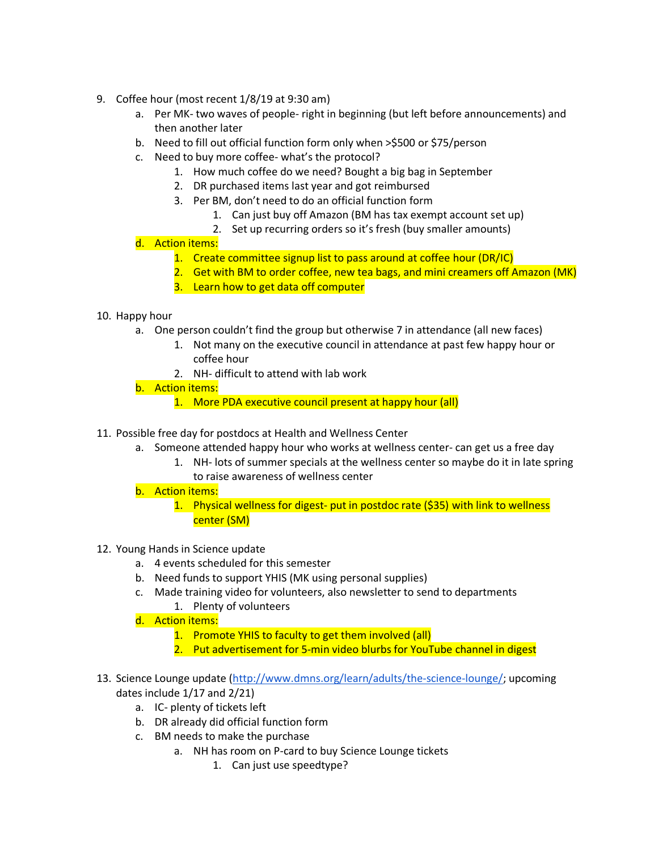- 9. Coffee hour (most recent 1/8/19 at 9:30 am)
	- a. Per MK- two waves of people- right in beginning (but left before announcements) and then another later
	- b. Need to fill out official function form only when >\$500 or \$75/person
	- c. Need to buy more coffee- what's the protocol?
		- 1. How much coffee do we need? Bought a big bag in September
		- 2. DR purchased items last year and got reimbursed
		- 3. Per BM, don't need to do an official function form
			- 1. Can just buy off Amazon (BM has tax exempt account set up)
			- 2. Set up recurring orders so it's fresh (buy smaller amounts)

## d. Action items:

- 1. Create committee signup list to pass around at coffee hour (DR/IC)
- 2. Get with BM to order coffee, new tea bags, and mini creamers off Amazon (MK)
- 3. Learn how to get data off computer

## 10. Happy hour

- a. One person couldn't find the group but otherwise 7 in attendance (all new faces)
	- 1. Not many on the executive council in attendance at past few happy hour or coffee hour
	- 2. NH- difficult to attend with lab work
- b. Action items:
	- 1. More PDA executive council present at happy hour (all)
- 11. Possible free day for postdocs at Health and Wellness Center
	- a. Someone attended happy hour who works at wellness center- can get us a free day
		- 1. NH- lots of summer specials at the wellness center so maybe do it in late spring to raise awareness of wellness center
	- b. Action items:
		- 1. Physical wellness for digest- put in postdoc rate (\$35) with link to wellness center (SM)
- 12. Young Hands in Science update
	- a. 4 events scheduled for this semester
	- b. Need funds to support YHIS (MK using personal supplies)
	- c. Made training video for volunteers, also newsletter to send to departments
		- 1. Plenty of volunteers
	- d. Action items:
		- 1. Promote YHIS to faculty to get them involved (all)
		- 2. Put advertisement for 5-min video blurbs for YouTube channel in digest
- 13. Science Lounge update (http://www.dmns.org/learn/adults/the-science-lounge/; upcoming dates include 1/17 and 2/21)
	- a. IC- plenty of tickets left
	- b. DR already did official function form
	- c. BM needs to make the purchase
		- a. NH has room on P-card to buy Science Lounge tickets
			- 1. Can just use speedtype?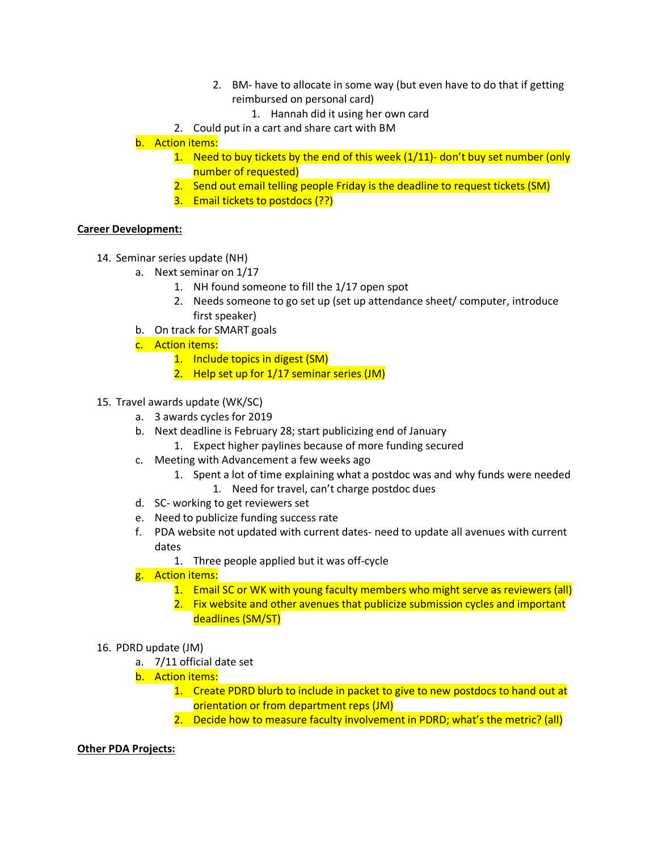- 2. BM- have to allocate in some way (but even have to do that if getting reimbursed on personal card)
	- 1. Hannah did it using her own card
- 2. Could put in a cart and share cart with BM

b. Action items:

- 1. Need to buy tickets by the end of this week (1/11)- don't buy set number (only number of requested)
- 2. Send out email telling people Friday is the deadline to request tickets (SM)
- 3. Email tickets to postdocs (??)

## **Career Development:**

- 14. Seminar series update (NH)
	- a. Next seminar on 1/17
		- 1. NH found someone to fill the 1/17 open spot
		- 2. Needs someone to go set up (set up attendance sheet/ computer, introduce first speaker)
	- b. On track for SMART goals
	- c. Action items:
		- 1. Include topics in digest (SM)
		- 2. Help set up for 1/17 seminar series (JM)
- 15. Travel awards update (WK/SC)
	- a. 3 awards cycles for 2019
	- b. Next deadline is February 28; start publicizing end of January
		- 1. Expect higher paylines because of more funding secured
	- c. Meeting with Advancement a few weeks ago
		- 1. Spent a lot of time explaining what a postdoc was and why funds were needed
			- 1. Need for travel, can't charge postdoc dues
	- d. SC- working to get reviewers set
	- e. Need to publicize funding success rate
	- f. PDA website not updated with current dates- need to update all avenues with current dates
		- 1. Three people applied but it was off-cycle
	- g. Action items:
		- 1. Email SC or WK with young faculty members who might serve as reviewers (all)
		- 2. Fix website and other avenues that publicize submission cycles and important deadlines (SM/ST)

#### 16. PDRD update (JM)

- a. 7/11 official date set
- b. Action items:
	- 1. Create PDRD blurb to include in packet to give to new postdocs to hand out at orientation or from department reps (JM)
	- 2. Decide how to measure faculty involvement in PDRD; what's the metric? (all)

#### **Other PDA Projects:**